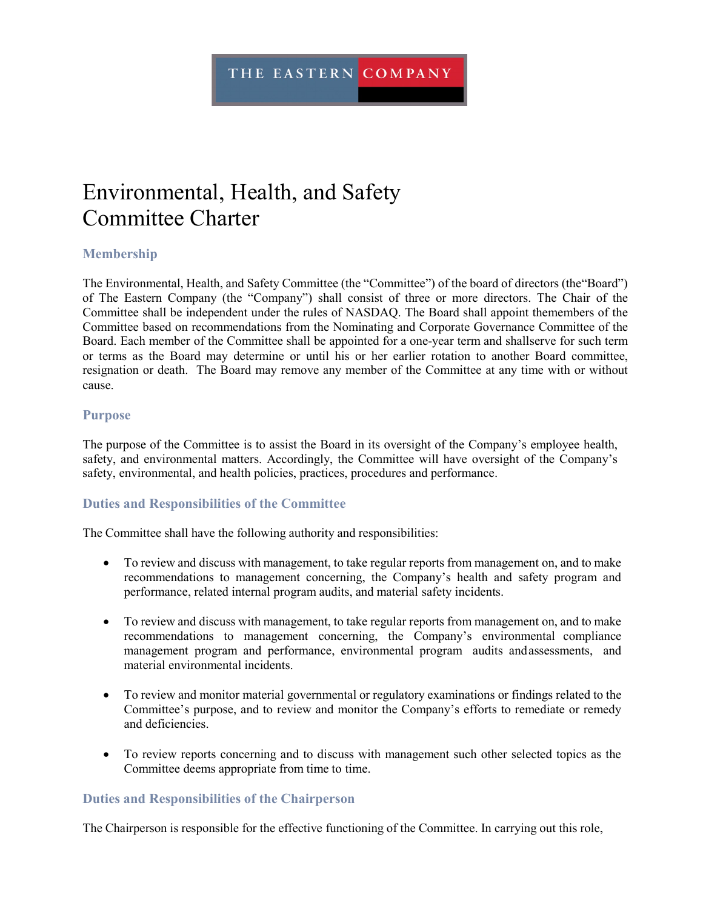# Environmental, Health, and Safety Committee Charter

## **Membership**

The Environmental, Health, and Safety Committee (the "Committee") of the board of directors (the"Board") of The Eastern Company (the "Company") shall consist of three or more directors. The Chair of the Committee shall be independent under the rules of NASDAQ. The Board shall appoint themembers of the Committee based on recommendations from the Nominating and Corporate Governance Committee of the Board. Each member of the Committee shall be appointed for a one-year term and shallserve for such term or terms as the Board may determine or until his or her earlier rotation to another Board committee, resignation or death. The Board may remove any member of the Committee at any time with or without cause.

#### **Purpose**

The purpose of the Committee is to assist the Board in its oversight of the Company's employee health, safety, and environmental matters. Accordingly, the Committee will have oversight of the Company's safety, environmental, and health policies, practices, procedures and performance.

#### **Duties and Responsibilities of the Committee**

The Committee shall have the following authority and responsibilities:

- To review and discuss with management, to take regular reports from management on, and to make recommendations to management concerning, the Company's health and safety program and performance, related internal program audits, and material safety incidents.
- To review and discuss with management, to take regular reports from management on, and to make recommendations to management concerning, the Company's environmental compliance management program and performance, environmental program audits andassessments, and material environmental incidents.
- To review and monitor material governmental or regulatory examinations or findings related to the Committee's purpose, and to review and monitor the Company's efforts to remediate or remedy and deficiencies.
- To review reports concerning and to discuss with management such other selected topics as the Committee deems appropriate from time to time.

#### **Duties and Responsibilities of the Chairperson**

The Chairperson is responsible for the effective functioning of the Committee. In carrying out this role,